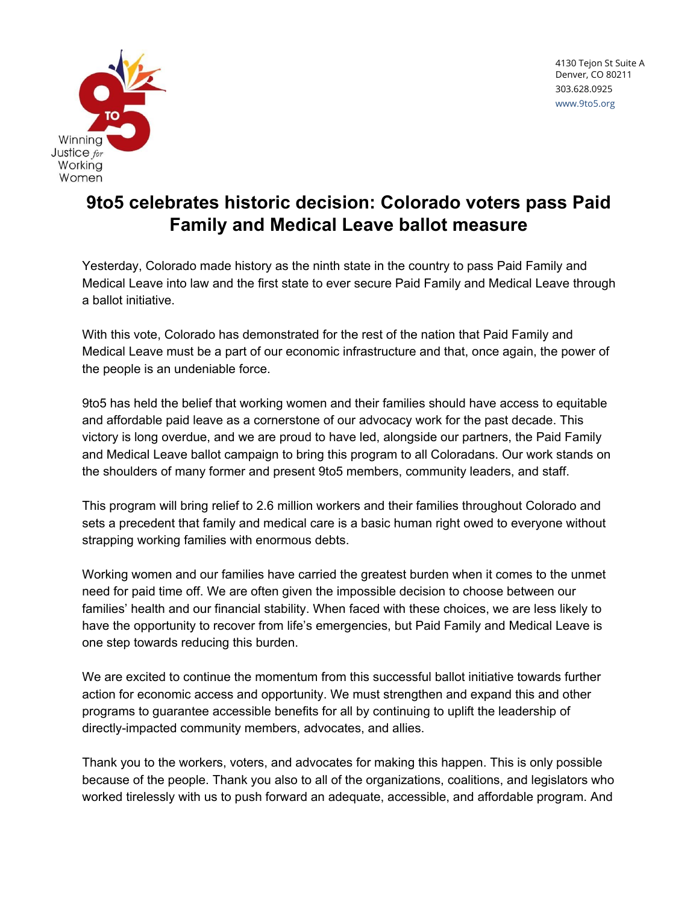

## **9to5 celebrates historic decision: Colorado voters pass Paid Family and Medical Leave ballot measure**

Yesterday, Colorado made history as the ninth state in the country to pass Paid Family and Medical Leave into law and the first state to ever secure Paid Family and Medical Leave through a ballot initiative.

With this vote, Colorado has demonstrated for the rest of the nation that Paid Family and Medical Leave must be a part of our economic infrastructure and that, once again, the power of the people is an undeniable force.

9to5 has held the belief that working women and their families should have access to equitable and affordable paid leave as a cornerstone of our advocacy work for the past decade. This victory is long overdue, and we are proud to have led, alongside our partners, the Paid Family and Medical Leave ballot campaign to bring this program to all Coloradans. Our work stands on the shoulders of many former and present 9to5 members, community leaders, and staff.

This program will bring relief to 2.6 million workers and their families throughout Colorado and sets a precedent that family and medical care is a basic human right owed to everyone without strapping working families with enormous debts.

Working women and our families have carried the greatest burden when it comes to the unmet need for paid time off. We are often given the impossible decision to choose between our families' health and our financial stability. When faced with these choices, we are less likely to have the opportunity to recover from life's emergencies, but Paid Family and Medical Leave is one step towards reducing this burden.

We are excited to continue the momentum from this successful ballot initiative towards further action for economic access and opportunity. We must strengthen and expand this and other programs to guarantee accessible benefits for all by continuing to uplift the leadership of directly-impacted community members, advocates, and allies.

Thank you to the workers, voters, and advocates for making this happen. This is only possible because of the people. Thank you also to all of the organizations, coalitions, and legislators who worked tirelessly with us to push forward an adequate, accessible, and affordable program. And